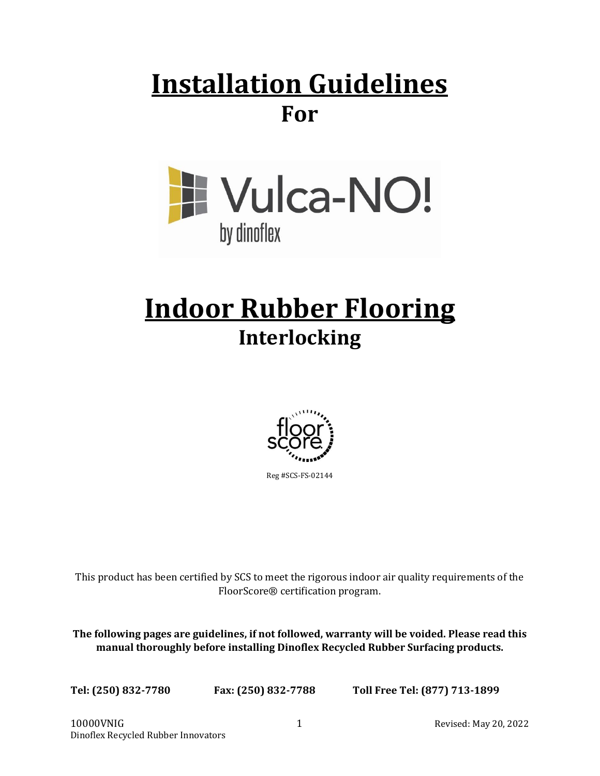## **Installation Guidelines For**



# **Indoor Rubber Flooring Interlocking**



Reg #SCS-FS-02144

This product has been certified by SCS to meet the rigorous indoor air quality requirements of the FloorScore® certification program.

**The following pages are guidelines, if not followed, warranty will be voided. Please read this manual thoroughly before installing Dinoflex Recycled Rubber Surfacing products.**

**Tel: (250) 832-7780 Fax: (250) 832-7788 Toll Free Tel: (877) 713-1899**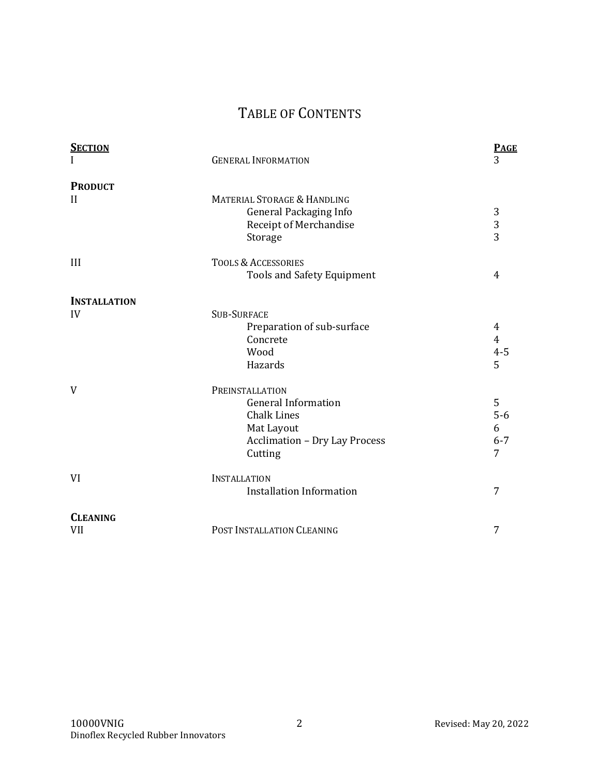## TABLE OF CONTENTS

| <b>SECTION</b>      | <b>GENERAL INFORMATION</b>             | <b>PAGE</b><br>3        |
|---------------------|----------------------------------------|-------------------------|
| <b>PRODUCT</b>      |                                        |                         |
| $\mathbf{I}$        | <b>MATERIAL STORAGE &amp; HANDLING</b> |                         |
|                     | <b>General Packaging Info</b>          | 3                       |
|                     | Receipt of Merchandise                 | $\overline{\mathbf{3}}$ |
|                     | Storage                                | $\overline{3}$          |
| III                 | <b>TOOLS &amp; ACCESSORIES</b>         |                         |
|                     | <b>Tools and Safety Equipment</b>      | 4                       |
| <b>INSTALLATION</b> |                                        |                         |
| IV                  | <b>SUB-SURFACE</b>                     |                         |
|                     | Preparation of sub-surface             | 4                       |
|                     | Concrete                               | $\overline{4}$          |
|                     | Wood                                   | $4 - 5$                 |
|                     | Hazards                                | 5                       |
| V                   | PREINSTALLATION                        |                         |
|                     | <b>General Information</b>             | 5                       |
|                     | <b>Chalk Lines</b>                     | $5-6$                   |
|                     | Mat Layout                             | 6                       |
|                     | <b>Acclimation - Dry Lay Process</b>   | $6 - 7$                 |
|                     | Cutting                                | 7                       |
| VI                  | <b>INSTALLATION</b>                    |                         |
|                     | <b>Installation Information</b>        | 7                       |
| <b>CLEANING</b>     |                                        |                         |
| VII                 | POST INSTALLATION CLEANING             | 7                       |
|                     |                                        |                         |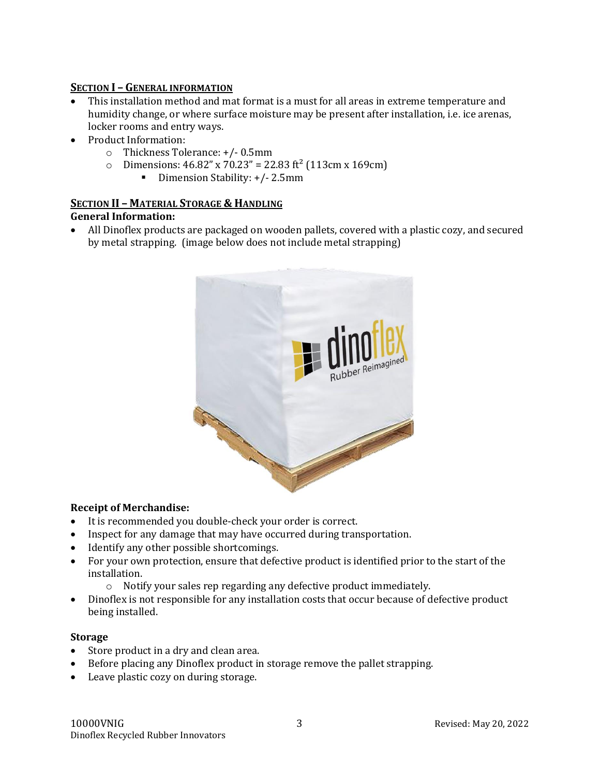#### **SECTION I – GENERAL INFORMATION**

- This installation method and mat format is a must for all areas in extreme temperature and humidity change, or where surface moisture may be present after installation, i.e. ice arenas, locker rooms and entry ways.
- Product Information:
	- o Thickness Tolerance: +/- 0.5mm
	- o Dimensions:  $46.82''$  x  $70.23'' = 22.83$  ft<sup>2</sup> (113cm x 169cm)
		- Dimension Stability: +/- 2.5mm

## **SECTION II – MATERIAL STORAGE & HANDLING**

#### **General Information:**

• All Dinoflex products are packaged on wooden pallets, covered with a plastic cozy, and secured by metal strapping. (image below does not include metal strapping)



#### **Receipt of Merchandise:**

- It is recommended you double-check your order is correct.
- Inspect for any damage that may have occurred during transportation.
- Identify any other possible shortcomings.
- For your own protection, ensure that defective product is identified prior to the start of the installation.
	- o Notify your sales rep regarding any defective product immediately.
- Dinoflex is not responsible for any installation costs that occur because of defective product being installed.

#### **Storage**

- Store product in a dry and clean area.
- Before placing any Dinoflex product in storage remove the pallet strapping.
- Leave plastic cozy on during storage.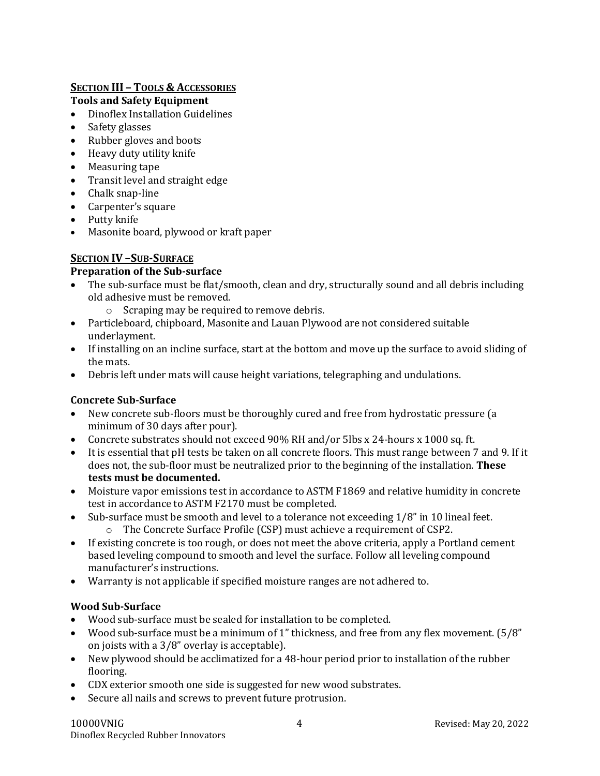## **SECTION III – TOOLS & ACCESSORIES**

## **Tools and Safety Equipment**

- Dinoflex Installation Guidelines
- Safety glasses
- Rubber gloves and boots
- Heavy duty utility knife
- Measuring tape
- Transit level and straight edge
- Chalk snap-line
- Carpenter's square
- Putty knife
- Masonite board, plywood or kraft paper

## **SECTION IV –SUB-SURFACE**

## **Preparation of the Sub-surface**

- The sub-surface must be flat/smooth, clean and dry, structurally sound and all debris including old adhesive must be removed.
	- o Scraping may be required to remove debris.
- Particleboard, chipboard, Masonite and Lauan Plywood are not considered suitable underlayment.
- If installing on an incline surface, start at the bottom and move up the surface to avoid sliding of the mats.
- Debris left under mats will cause height variations, telegraphing and undulations.

## **Concrete Sub-Surface**

- New concrete sub-floors must be thoroughly cured and free from hydrostatic pressure (a minimum of 30 days after pour).
- Concrete substrates should not exceed 90% RH and/or 5lbs x 24-hours x 1000 sq. ft.
- It is essential that pH tests be taken on all concrete floors. This must range between 7 and 9. If it does not, the sub-floor must be neutralized prior to the beginning of the installation. **These tests must be documented.**
- Moisture vapor emissions test in accordance to ASTM F1869 and relative humidity in concrete test in accordance to ASTM F2170 must be completed.
- Sub-surface must be smooth and level to a tolerance not exceeding 1/8" in 10 lineal feet. o The Concrete Surface Profile (CSP) must achieve a requirement of CSP2.
- If existing concrete is too rough, or does not meet the above criteria, apply a Portland cement based leveling compound to smooth and level the surface. Follow all leveling compound manufacturer's instructions.
- Warranty is not applicable if specified moisture ranges are not adhered to.

## **Wood Sub-Surface**

- Wood sub-surface must be sealed for installation to be completed.
- Wood sub-surface must be a minimum of 1" thickness, and free from any flex movement. (5/8" on joists with a 3/8" overlay is acceptable).
- New plywood should be acclimatized for a 48-hour period prior to installation of the rubber flooring.
- CDX exterior smooth one side is suggested for new wood substrates.
- Secure all nails and screws to prevent future protrusion.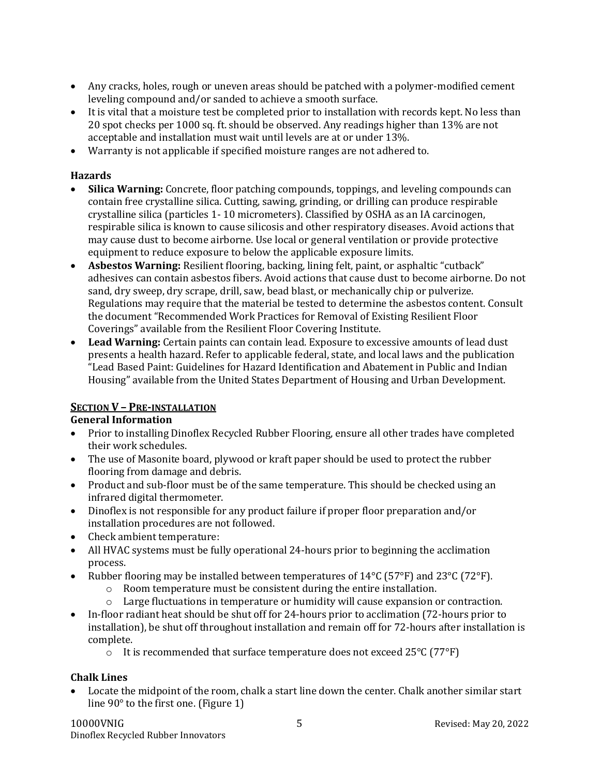- Any cracks, holes, rough or uneven areas should be patched with a polymer-modified cement leveling compound and/or sanded to achieve a smooth surface.
- It is vital that a moisture test be completed prior to installation with records kept. No less than 20 spot checks per 1000 sq. ft. should be observed. Any readings higher than 13% are not acceptable and installation must wait until levels are at or under 13%.
- Warranty is not applicable if specified moisture ranges are not adhered to.

## **Hazards**

- **Silica Warning:** Concrete, floor patching compounds, toppings, and leveling compounds can contain free crystalline silica. Cutting, sawing, grinding, or drilling can produce respirable crystalline silica (particles 1- 10 micrometers). Classified by OSHA as an IA carcinogen, respirable silica is known to cause silicosis and other respiratory diseases. Avoid actions that may cause dust to become airborne. Use local or general ventilation or provide protective equipment to reduce exposure to below the applicable exposure limits.
- **Asbestos Warning:** Resilient flooring, backing, lining felt, paint, or asphaltic "cutback" adhesives can contain asbestos fibers. Avoid actions that cause dust to become airborne. Do not sand, dry sweep, dry scrape, drill, saw, bead blast, or mechanically chip or pulverize. Regulations may require that the material be tested to determine the asbestos content. Consult the document "Recommended Work Practices for Removal of Existing Resilient Floor Coverings" available from the Resilient Floor Covering Institute.
- **Lead Warning:** Certain paints can contain lead. Exposure to excessive amounts of lead dust presents a health hazard. Refer to applicable federal, state, and local laws and the publication "Lead Based Paint: Guidelines for Hazard Identification and Abatement in Public and Indian Housing" available from the United States Department of Housing and Urban Development.

## **SECTION V – PRE-INSTALLATION**

#### **General Information**

- Prior to installing Dinoflex Recycled Rubber Flooring, ensure all other trades have completed their work schedules.
- The use of Masonite board, plywood or kraft paper should be used to protect the rubber flooring from damage and debris.
- Product and sub-floor must be of the same temperature. This should be checked using an infrared digital thermometer.
- Dinoflex is not responsible for any product failure if proper floor preparation and/or installation procedures are not followed.
- Check ambient temperature:
- All HVAC systems must be fully operational 24-hours prior to beginning the acclimation process.
- Rubber flooring may be installed between temperatures of  $14^{\circ}C$  (57°F) and 23°C (72°F).
	- o Room temperature must be consistent during the entire installation.
	- o Large fluctuations in temperature or humidity will cause expansion or contraction.
- In-floor radiant heat should be shut off for 24-hours prior to acclimation (72-hours prior to installation), be shut off throughout installation and remain off for 72-hours after installation is complete.
	- $\circ$  It is recommended that surface temperature does not exceed 25 $\degree$ C (77 $\degree$ F)

#### **Chalk Lines**

• Locate the midpoint of the room, chalk a start line down the center. Chalk another similar start line 90° to the first one. (Figure 1)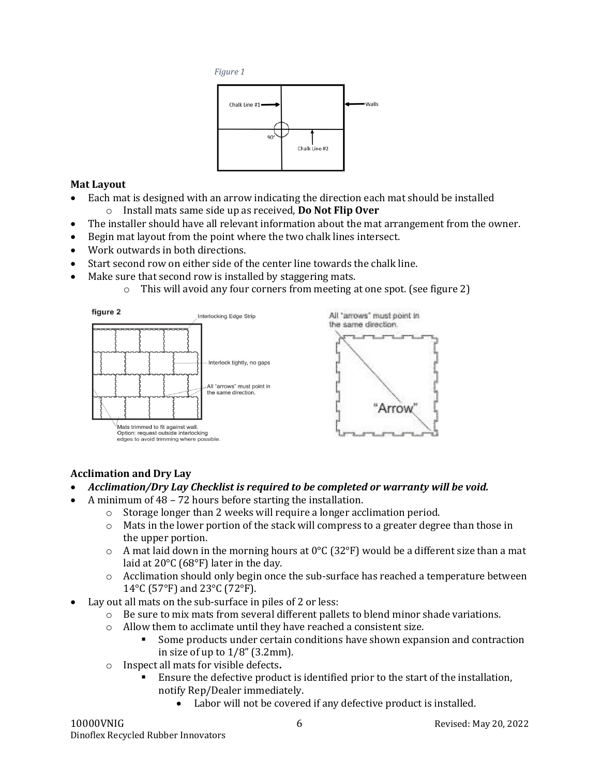



## **Mat Layout**

- Each mat is designed with an arrow indicating the direction each mat should be installed
	- o Install mats same side up as received, **Do Not Flip Over**
- The installer should have all relevant information about the mat arrangement from the owner.
- Begin mat layout from the point where the two chalk lines intersect.
- Work outwards in both directions.
- Start second row on either side of the center line towards the chalk line.
- Make sure that second row is installed by staggering mats.
	- $\circ$  This will avoid any four corners from meeting at one spot. (see figure 2)



## **Acclimation and Dry Lay**

- *Acclimation/Dry Lay Checklist is required to be completed or warranty will be void.*
- A minimum of 48 72 hours before starting the installation.
	- o Storage longer than 2 weeks will require a longer acclimation period.
		- $\circ$  Mats in the lower portion of the stack will compress to a greater degree than those in the upper portion.
		- $\circ$  A mat laid down in the morning hours at 0°C (32°F) would be a different size than a mat laid at 20°C (68°F) later in the day.
		- o Acclimation should only begin once the sub-surface has reached a temperature between 14°C (57°F) and 23°C (72°F).
- Lay out all mats on the sub-surface in piles of 2 or less:
	- $\circ$  Be sure to mix mats from several different pallets to blend minor shade variations.
	- o Allow them to acclimate until they have reached a consistent size.
		- Some products under certain conditions have shown expansion and contraction in size of up to  $1/8$ " (3.2mm).
	- o Inspect all mats for visible defects**.**
		- Ensure the defective product is identified prior to the start of the installation, notify Rep/Dealer immediately.
			- Labor will not be covered if any defective product is installed.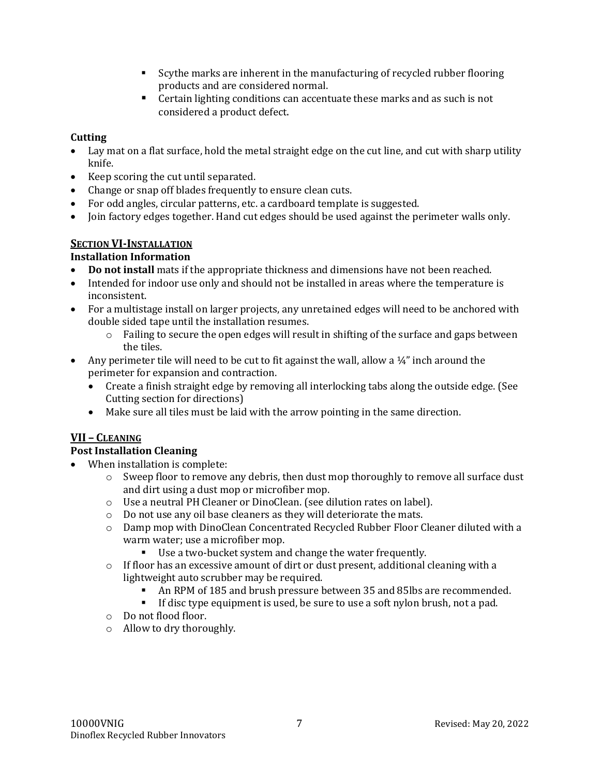- Scythe marks are inherent in the manufacturing of recycled rubber flooring products and are considered normal.
- Certain lighting conditions can accentuate these marks and as such is not considered a product defect.

## **Cutting**

- Lay mat on a flat surface, hold the metal straight edge on the cut line, and cut with sharp utility knife.
- Keep scoring the cut until separated.
- Change or snap off blades frequently to ensure clean cuts.
- For odd angles, circular patterns, etc. a cardboard template is suggested.
- Join factory edges together. Hand cut edges should be used against the perimeter walls only.

## **SECTION VI-INSTALLATION**

## **Installation Information**

- **Do not install** mats if the appropriate thickness and dimensions have not been reached.
- Intended for indoor use only and should not be installed in areas where the temperature is inconsistent.
- For a multistage install on larger projects, any unretained edges will need to be anchored with double sided tape until the installation resumes.
	- o Failing to secure the open edges will result in shifting of the surface and gaps between the tiles.
- Any perimeter tile will need to be cut to fit against the wall, allow a  $\frac{1}{4}$ " inch around the perimeter for expansion and contraction.
	- Create a finish straight edge by removing all interlocking tabs along the outside edge. (See Cutting section for directions)
	- Make sure all tiles must be laid with the arrow pointing in the same direction.

## **VII – CLEANING**

#### **Post Installation Cleaning**

- When installation is complete:
	- $\circ$  Sweep floor to remove any debris, then dust mop thoroughly to remove all surface dust and dirt using a dust mop or microfiber mop.
	- o Use a neutral PH Cleaner or DinoClean. (see dilution rates on label).
	- o Do not use any oil base cleaners as they will deteriorate the mats.
	- o Damp mop with DinoClean Concentrated Recycled Rubber Floor Cleaner diluted with a warm water; use a microfiber mop.
		- Use a two-bucket system and change the water frequently.
	- o If floor has an excessive amount of dirt or dust present, additional cleaning with a lightweight auto scrubber may be required.
		- An RPM of 185 and brush pressure between 35 and 85lbs are recommended.
		- **•** If disc type equipment is used, be sure to use a soft nylon brush, not a pad.
	- o Do not flood floor.
	- o Allow to dry thoroughly.